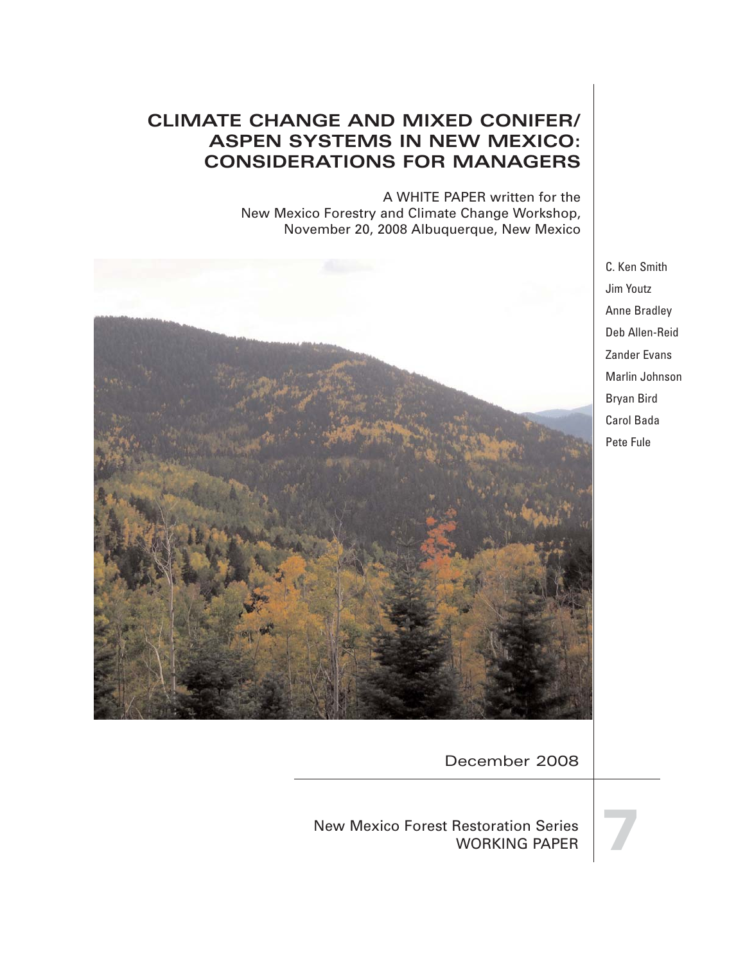# **CLIMATE CHANGE AND MIXED CONIFER/ ASPEN SYSTEMS IN NEW MEXICO: CONSIDERATIONS FOR MANAGERS**

A WHITE PAPER written for the New Mexico Forestry and Climate Change Workshop, November 20, 2008 Albuquerque, New Mexico



C. Ken Smith Jim Youtz Anne Bradley Deb Allen-Reid Zander Evans Marlin Johnson Bryan Bird Carol Bada Pete Fule

December 2008

New Mexico Forest Restoration Series Restoration Series<br>WORKING PAPER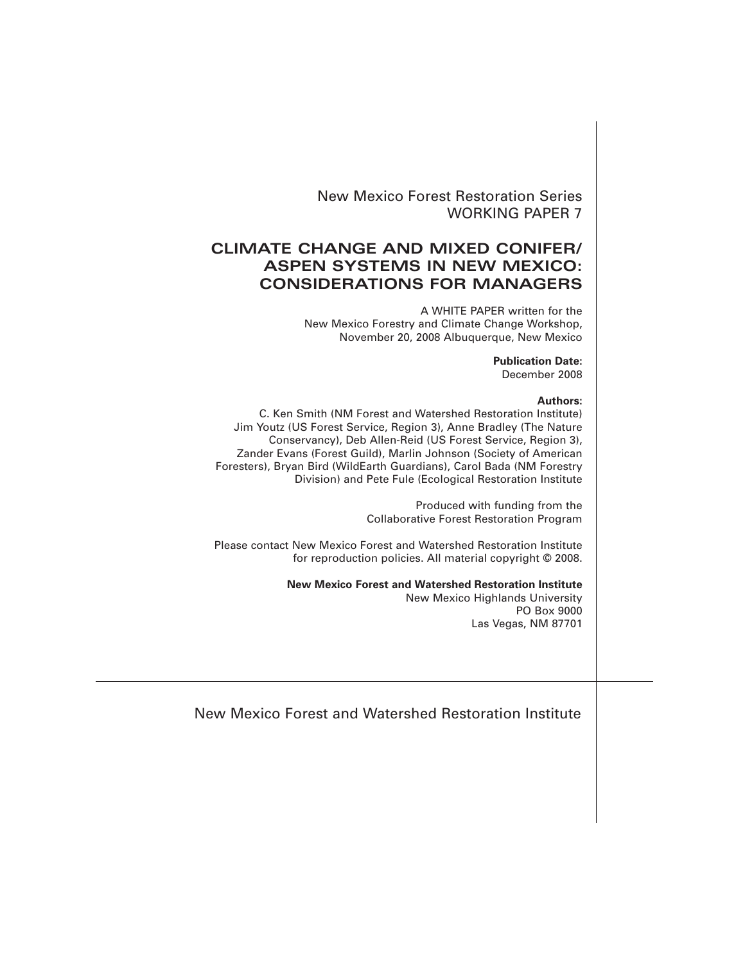New Mexico Forest Restoration Series WORKING PAPER 7

# **CLIMATE CHANGE AND MIXED CONIFER/ ASPEN SYSTEMS IN NEW MEXICO: CONSIDERATIONS FOR MANAGERS**

A WHITE PAPER written for the New Mexico Forestry and Climate Change Workshop, November 20, 2008 Albuquerque, New Mexico

> **Publication Date:** December 2008

#### **Authors:**

C. Ken Smith (NM Forest and Watershed Restoration Institute) Jim Youtz (US Forest Service, Region 3), Anne Bradley (The Nature Conservancy), Deb Allen-Reid (US Forest Service, Region 3), Zander Evans (Forest Guild), Marlin Johnson (Society of American Foresters), Bryan Bird (WildEarth Guardians), Carol Bada (NM Forestry Division) and Pete Fule (Ecological Restoration Institute

> Produced with funding from the Collaborative Forest Restoration Program

Please contact New Mexico Forest and Watershed Restoration Institute for reproduction policies. All material copyright © 2008.

**New Mexico Forest and Watershed Restoration Institute**

New Mexico Highlands University PO Box 9000 Las Vegas, NM 87701

New Mexico Forest and Watershed Restoration Institute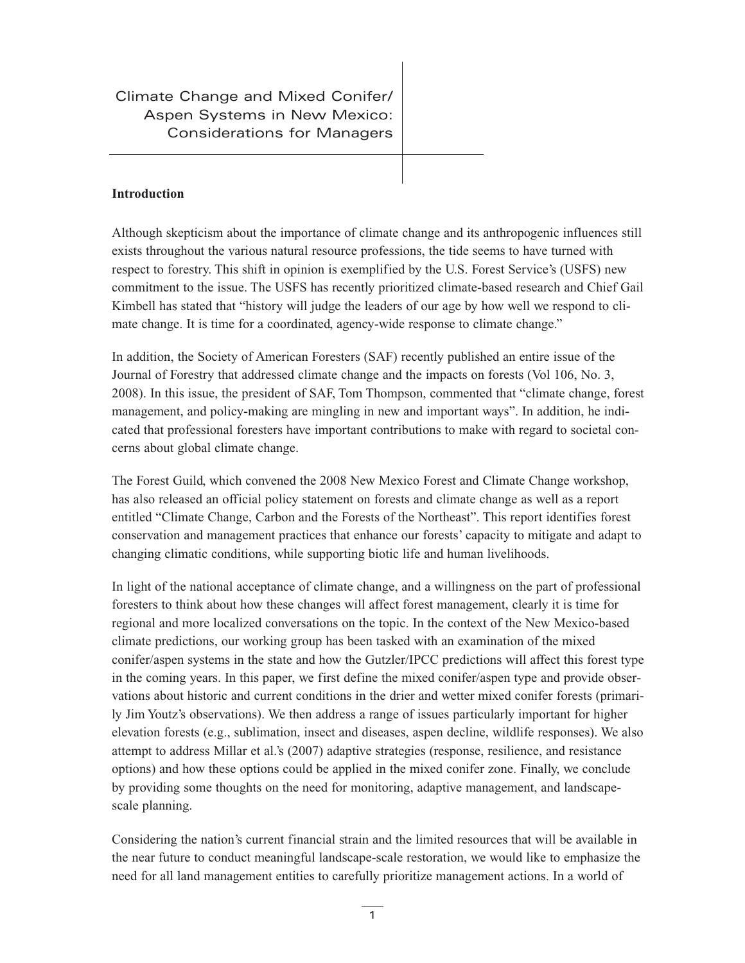Climate Change and Mixed Conifer/ Aspen Systems in New Mexico: Considerations for Managers

# **Introduction**

Although skepticism about the importance of climate change and its anthropogenic influences still exists throughout the various natural resource professions, the tide seems to have turned with respect to forestry. This shift in opinion is exemplified by the U.S. Forest Service's (USFS) new commitment to the issue. The USFS has recently prioritized climate-based research and Chief Gail Kimbell has stated that "history will judge the leaders of our age by how well we respond to climate change. It is time for a coordinated, agency-wide response to climate change."

In addition, the Society of American Foresters (SAF) recently published an entire issue of the Journal of Forestry that addressed climate change and the impacts on forests (Vol 106, No. 3, 2008). In this issue, the president of SAF, Tom Thompson, commented that "climate change, forest management, and policy-making are mingling in new and important ways". In addition, he indicated that professional foresters have important contributions to make with regard to societal concerns about global climate change.

The Forest Guild, which convened the 2008 New Mexico Forest and Climate Change workshop, has also released an official policy statement on forests and climate change as well as a report entitled "Climate Change, Carbon and the Forests of the Northeast". This report identifies forest conservation and management practices that enhance our forests' capacity to mitigate and adapt to changing climatic conditions, while supporting biotic life and human livelihoods.

In light of the national acceptance of climate change, and a willingness on the part of professional foresters to think about how these changes will affect forest management, clearly it is time for regional and more localized conversations on the topic. In the context of the New Mexico-based climate predictions, our working group has been tasked with an examination of the mixed conifer/aspen systems in the state and how the Gutzler/IPCC predictions will affect this forest type in the coming years. In this paper, we first define the mixed conifer/aspen type and provide observations about historic and current conditions in the drier and wetter mixed conifer forests (primarily Jim Youtz's observations). We then address a range of issues particularly important for higher elevation forests (e.g., sublimation, insect and diseases, aspen decline, wildlife responses). We also attempt to address Millar et al.'s (2007) adaptive strategies (response, resilience, and resistance options) and how these options could be applied in the mixed conifer zone. Finally, we conclude by providing some thoughts on the need for monitoring, adaptive management, and landscapescale planning.

Considering the nation's current financial strain and the limited resources that will be available in the near future to conduct meaningful landscape-scale restoration, we would like to emphasize the need for all land management entities to carefully prioritize management actions. In a world of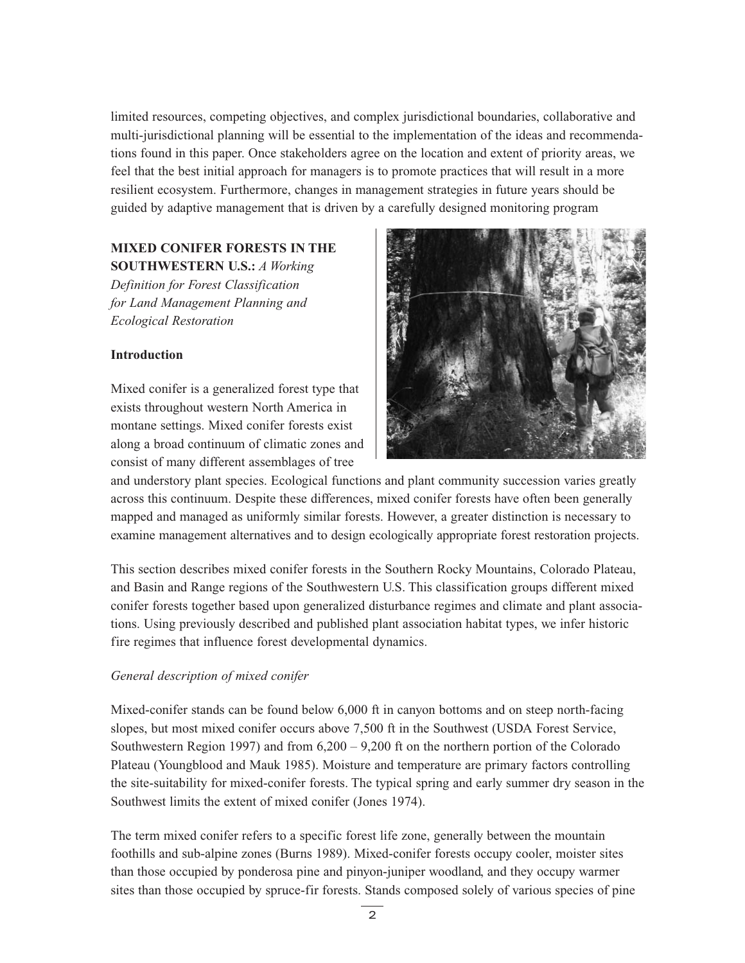limited resources, competing objectives, and complex jurisdictional boundaries, collaborative and multi-jurisdictional planning will be essential to the implementation of the ideas and recommendations found in this paper. Once stakeholders agree on the location and extent of priority areas, we feel that the best initial approach for managers is to promote practices that will result in a more resilient ecosystem. Furthermore, changes in management strategies in future years should be guided by adaptive management that is driven by a carefully designed monitoring program

# **MIXED CONIFER FORESTS IN THE SOUTHWESTERN U.S.:** *A Working*

*Definition for Forest Classification for Land Management Planning and Ecological Restoration*

# **Introduction**

Mixed conifer is a generalized forest type that exists throughout western North America in montane settings. Mixed conifer forests exist along a broad continuum of climatic zones and consist of many different assemblages of tree



and understory plant species. Ecological functions and plant community succession varies greatly across this continuum. Despite these differences, mixed conifer forests have often been generally mapped and managed as uniformly similar forests. However, a greater distinction is necessary to examine management alternatives and to design ecologically appropriate forest restoration projects.

This section describes mixed conifer forests in the Southern Rocky Mountains, Colorado Plateau, and Basin and Range regions of the Southwestern U.S. This classification groups different mixed conifer forests together based upon generalized disturbance regimes and climate and plant associations. Using previously described and published plant association habitat types, we infer historic fire regimes that influence forest developmental dynamics.

# *General description of mixed conifer*

Mixed-conifer stands can be found below 6,000 ft in canyon bottoms and on steep north-facing slopes, but most mixed conifer occurs above 7,500 ft in the Southwest (USDA Forest Service, Southwestern Region 1997) and from  $6,200 - 9,200$  ft on the northern portion of the Colorado Plateau (Youngblood and Mauk 1985). Moisture and temperature are primary factors controlling the site-suitability for mixed-conifer forests. The typical spring and early summer dry season in the Southwest limits the extent of mixed conifer (Jones 1974).

The term mixed conifer refers to a specific forest life zone, generally between the mountain foothills and sub-alpine zones (Burns 1989). Mixed-conifer forests occupy cooler, moister sites than those occupied by ponderosa pine and pinyon-juniper woodland, and they occupy warmer sites than those occupied by spruce-fir forests. Stands composed solely of various species of pine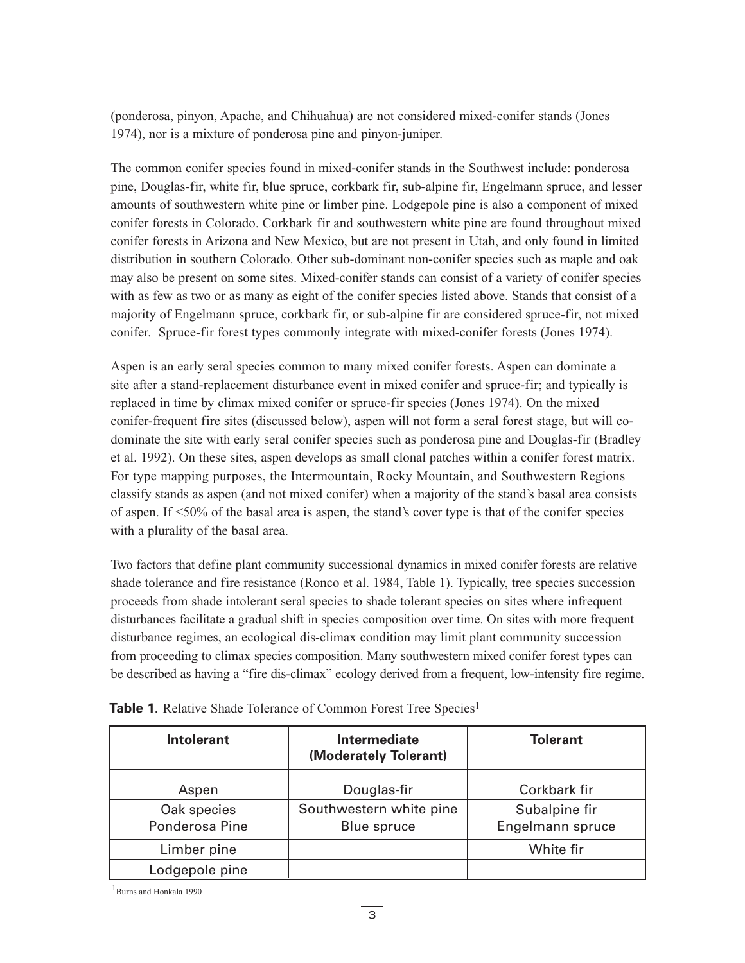(ponderosa, pinyon, Apache, and Chihuahua) are not considered mixed-conifer stands (Jones 1974), nor is a mixture of ponderosa pine and pinyon-juniper.

The common conifer species found in mixed-conifer stands in the Southwest include: ponderosa pine, Douglas-fir, white fir, blue spruce, corkbark fir, sub-alpine fir, Engelmann spruce, and lesser amounts of southwestern white pine or limber pine. Lodgepole pine is also a component of mixed conifer forests in Colorado. Corkbark fir and southwestern white pine are found throughout mixed conifer forests in Arizona and New Mexico, but are not present in Utah, and only found in limited distribution in southern Colorado. Other sub-dominant non-conifer species such as maple and oak may also be present on some sites. Mixed-conifer stands can consist of a variety of conifer species with as few as two or as many as eight of the conifer species listed above. Stands that consist of a majority of Engelmann spruce, corkbark fir, or sub-alpine fir are considered spruce-fir, not mixed conifer. Spruce-fir forest types commonly integrate with mixed-conifer forests (Jones 1974).

Aspen is an early seral species common to many mixed conifer forests. Aspen can dominate a site after a stand-replacement disturbance event in mixed conifer and spruce-fir; and typically is replaced in time by climax mixed conifer or spruce-fir species (Jones 1974). On the mixed conifer-frequent fire sites (discussed below), aspen will not form a seral forest stage, but will codominate the site with early seral conifer species such as ponderosa pine and Douglas-fir (Bradley et al. 1992). On these sites, aspen develops as small clonal patches within a conifer forest matrix. For type mapping purposes, the Intermountain, Rocky Mountain, and Southwestern Regions classify stands as aspen (and not mixed conifer) when a majority of the stand's basal area consists of aspen. If <50% of the basal area is aspen, the stand's cover type is that of the conifer species with a plurality of the basal area.

Two factors that define plant community successional dynamics in mixed conifer forests are relative shade tolerance and fire resistance (Ronco et al. 1984, Table 1). Typically, tree species succession proceeds from shade intolerant seral species to shade tolerant species on sites where infrequent disturbances facilitate a gradual shift in species composition over time. On sites with more frequent disturbance regimes, an ecological dis-climax condition may limit plant community succession from proceeding to climax species composition. Many southwestern mixed conifer forest types can be described as having a "fire dis-climax" ecology derived from a frequent, low-intensity fire regime.

| <b>Intolerant</b> | <b>Intermediate</b><br>(Moderately Tolerant) | <b>Tolerant</b>  |  |
|-------------------|----------------------------------------------|------------------|--|
| Aspen             | Douglas-fir                                  | Corkbark fir     |  |
| Oak species       | Southwestern white pine                      | Subalpine fir    |  |
| Ponderosa Pine    | <b>Blue spruce</b>                           | Engelmann spruce |  |
| Limber pine       |                                              | White fir        |  |
| Lodgepole pine    |                                              |                  |  |

Table 1. Relative Shade Tolerance of Common Forest Tree Species<sup>1</sup>

<sup>1</sup>Burns and Honkala 1990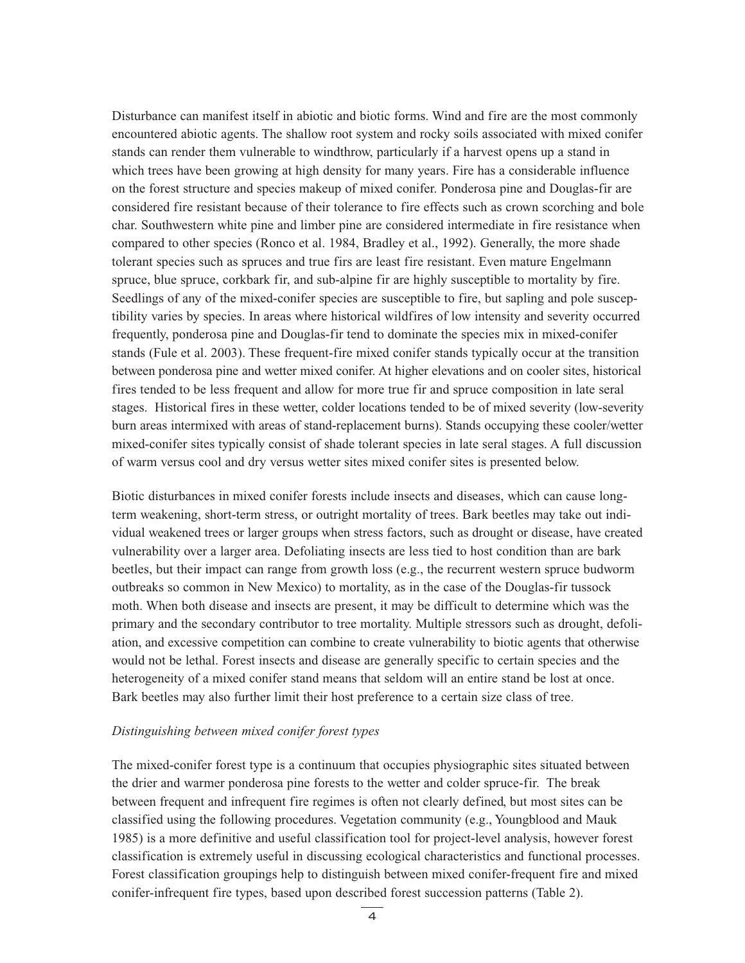Disturbance can manifest itself in abiotic and biotic forms. Wind and fire are the most commonly encountered abiotic agents. The shallow root system and rocky soils associated with mixed conifer stands can render them vulnerable to windthrow, particularly if a harvest opens up a stand in which trees have been growing at high density for many years. Fire has a considerable influence on the forest structure and species makeup of mixed conifer. Ponderosa pine and Douglas-fir are considered fire resistant because of their tolerance to fire effects such as crown scorching and bole char. Southwestern white pine and limber pine are considered intermediate in fire resistance when compared to other species (Ronco et al. 1984, Bradley et al., 1992). Generally, the more shade tolerant species such as spruces and true firs are least fire resistant. Even mature Engelmann spruce, blue spruce, corkbark fir, and sub-alpine fir are highly susceptible to mortality by fire. Seedlings of any of the mixed-conifer species are susceptible to fire, but sapling and pole susceptibility varies by species. In areas where historical wildfires of low intensity and severity occurred frequently, ponderosa pine and Douglas-fir tend to dominate the species mix in mixed-conifer stands (Fule et al. 2003). These frequent-fire mixed conifer stands typically occur at the transition between ponderosa pine and wetter mixed conifer. At higher elevations and on cooler sites, historical fires tended to be less frequent and allow for more true fir and spruce composition in late seral stages. Historical fires in these wetter, colder locations tended to be of mixed severity (low-severity burn areas intermixed with areas of stand-replacement burns). Stands occupying these cooler/wetter mixed-conifer sites typically consist of shade tolerant species in late seral stages. A full discussion of warm versus cool and dry versus wetter sites mixed conifer sites is presented below.

Biotic disturbances in mixed conifer forests include insects and diseases, which can cause longterm weakening, short-term stress, or outright mortality of trees. Bark beetles may take out individual weakened trees or larger groups when stress factors, such as drought or disease, have created vulnerability over a larger area. Defoliating insects are less tied to host condition than are bark beetles, but their impact can range from growth loss (e.g., the recurrent western spruce budworm outbreaks so common in New Mexico) to mortality, as in the case of the Douglas-fir tussock moth. When both disease and insects are present, it may be difficult to determine which was the primary and the secondary contributor to tree mortality. Multiple stressors such as drought, defoliation, and excessive competition can combine to create vulnerability to biotic agents that otherwise would not be lethal. Forest insects and disease are generally specific to certain species and the heterogeneity of a mixed conifer stand means that seldom will an entire stand be lost at once. Bark beetles may also further limit their host preference to a certain size class of tree.

#### *Distinguishing between mixed conifer forest types*

The mixed-conifer forest type is a continuum that occupies physiographic sites situated between the drier and warmer ponderosa pine forests to the wetter and colder spruce-fir. The break between frequent and infrequent fire regimes is often not clearly defined, but most sites can be classified using the following procedures. Vegetation community (e.g., Youngblood and Mauk 1985) is a more definitive and useful classification tool for project-level analysis, however forest classification is extremely useful in discussing ecological characteristics and functional processes. Forest classification groupings help to distinguish between mixed conifer-frequent fire and mixed conifer-infrequent fire types, based upon described forest succession patterns (Table 2).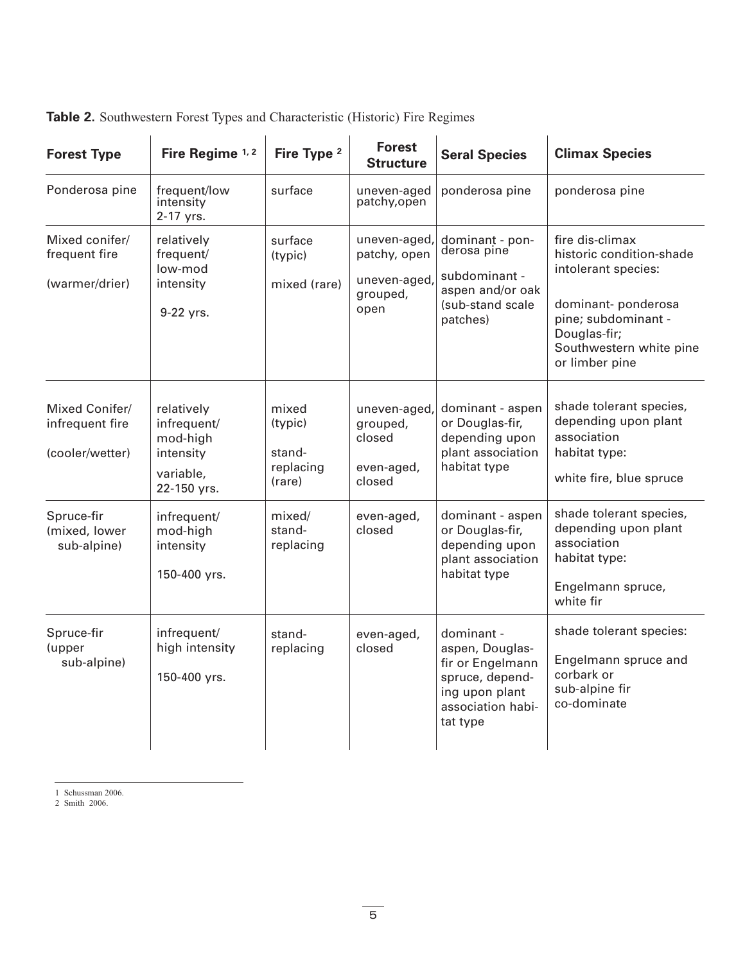| <b>Forest Type</b>                                   | Fire Regime 1, 2                                                               | Fire Type <sup>2</sup>                            | <b>Forest</b><br><b>Structure</b>                              | <b>Seral Species</b>                                                                                                    | <b>Climax Species</b>                                                                                                                                                        |
|------------------------------------------------------|--------------------------------------------------------------------------------|---------------------------------------------------|----------------------------------------------------------------|-------------------------------------------------------------------------------------------------------------------------|------------------------------------------------------------------------------------------------------------------------------------------------------------------------------|
| Ponderosa pine                                       | frequent/low<br>intensity<br>2-17 yrs.                                         | surface                                           | uneven-aged<br>patchy, open                                    | ponderosa pine                                                                                                          | ponderosa pine                                                                                                                                                               |
| Mixed conifer/<br>frequent fire<br>(warmer/drier)    | relatively<br>frequent/<br>low-mod<br>intensity<br>9-22 yrs.                   | surface<br>(typic)<br>mixed (rare)                | uneven-aged<br>patchy, open<br>uneven-aged<br>grouped,<br>open | dominant - pon-<br>derosa pine<br>subdominant -<br>aspen and/or oak<br>(sub-stand scale<br>patches)                     | fire dis-climax<br>historic condition-shade<br>intolerant species:<br>dominant-ponderosa<br>pine; subdominant -<br>Douglas-fir;<br>Southwestern white pine<br>or limber pine |
| Mixed Conifer/<br>infrequent fire<br>(cooler/wetter) | relatively<br>infrequent/<br>mod-high<br>intensity<br>variable,<br>22-150 yrs. | mixed<br>(typic)<br>stand-<br>replacing<br>(rare) | uneven-aged,<br>grouped,<br>closed<br>even-aged,<br>closed     | dominant - aspen<br>or Douglas-fir,<br>depending upon<br>plant association<br>habitat type                              | shade tolerant species,<br>depending upon plant<br>association<br>habitat type:<br>white fire, blue spruce                                                                   |
| Spruce-fir<br>(mixed, lower<br>sub-alpine)           | infrequent/<br>mod-high<br>intensity<br>150-400 yrs.                           | mixed/<br>stand-<br>replacing                     | even-aged,<br>closed                                           | dominant - aspen<br>or Douglas-fir,<br>depending upon<br>plant association<br>habitat type                              | shade tolerant species,<br>depending upon plant<br>association<br>habitat type:<br>Engelmann spruce,<br>white fir                                                            |
| Spruce-fir<br>(upper<br>sub-alpine)                  | infrequent/<br>high intensity<br>150-400 yrs.                                  | stand-<br>replacing                               | even-aged,<br>closed                                           | dominant -<br>aspen, Douglas-<br>fir or Engelmann<br>spruce, depend-<br>ing upon plant<br>association habi-<br>tat type | shade tolerant species:<br>Engelmann spruce and<br>corbark or<br>sub-alpine fir<br>co-dominate                                                                               |

**Table 2.** Southwestern Forest Types and Characteristic (Historic) Fire Regimes

1 Schussman 2006.

2 Smith 2006.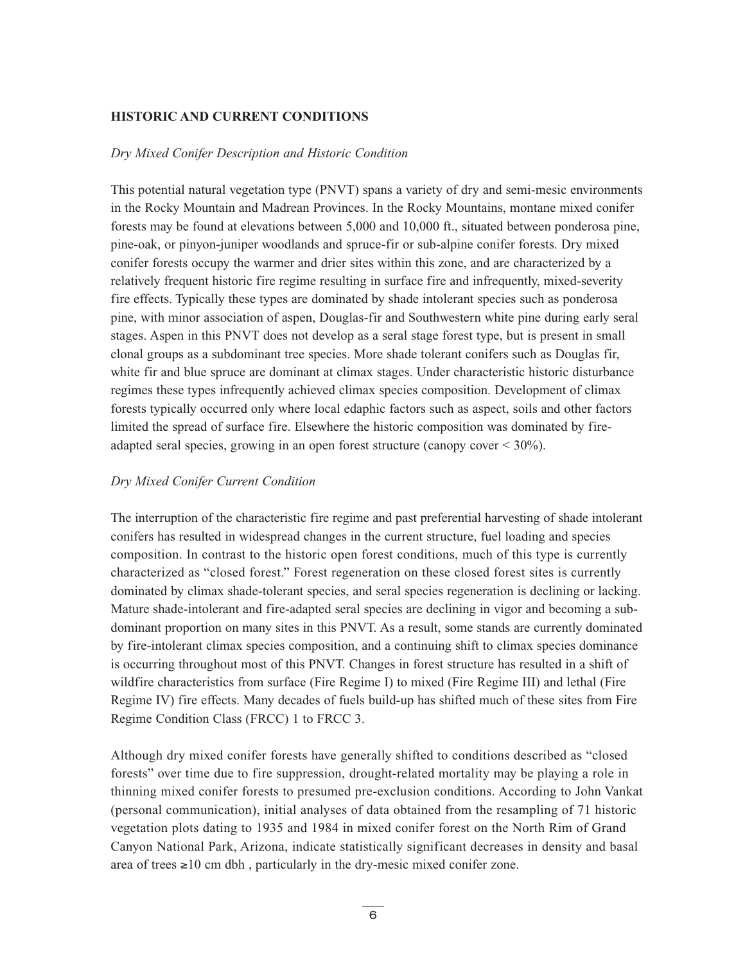# **HISTORIC AND CURRENT CONDITIONS**

#### *Dry Mixed Conifer Description and Historic Condition*

This potential natural vegetation type (PNVT) spans a variety of dry and semi-mesic environments in the Rocky Mountain and Madrean Provinces. In the Rocky Mountains, montane mixed conifer forests may be found at elevations between 5,000 and 10,000 ft., situated between ponderosa pine, pine-oak, or pinyon-juniper woodlands and spruce-fir or sub-alpine conifer forests. Dry mixed conifer forests occupy the warmer and drier sites within this zone, and are characterized by a relatively frequent historic fire regime resulting in surface fire and infrequently, mixed-severity fire effects. Typically these types are dominated by shade intolerant species such as ponderosa pine, with minor association of aspen, Douglas-fir and Southwestern white pine during early seral stages. Aspen in this PNVT does not develop as a seral stage forest type, but is present in small clonal groups as a subdominant tree species. More shade tolerant conifers such as Douglas fir, white fir and blue spruce are dominant at climax stages. Under characteristic historic disturbance regimes these types infrequently achieved climax species composition. Development of climax forests typically occurred only where local edaphic factors such as aspect, soils and other factors limited the spread of surface fire. Elsewhere the historic composition was dominated by fireadapted seral species, growing in an open forest structure (canopy cover < 30%).

# *Dry Mixed Conifer Current Condition*

The interruption of the characteristic fire regime and past preferential harvesting of shade intolerant conifers has resulted in widespread changes in the current structure, fuel loading and species composition. In contrast to the historic open forest conditions, much of this type is currently characterized as "closed forest." Forest regeneration on these closed forest sites is currently dominated by climax shade-tolerant species, and seral species regeneration is declining or lacking. Mature shade-intolerant and fire-adapted seral species are declining in vigor and becoming a subdominant proportion on many sites in this PNVT. As a result, some stands are currently dominated by fire-intolerant climax species composition, and a continuing shift to climax species dominance is occurring throughout most of this PNVT. Changes in forest structure has resulted in a shift of wildfire characteristics from surface (Fire Regime I) to mixed (Fire Regime III) and lethal (Fire Regime IV) fire effects. Many decades of fuels build-up has shifted much of these sites from Fire Regime Condition Class (FRCC) 1 to FRCC 3.

Although dry mixed conifer forests have generally shifted to conditions described as "closed forests" over time due to fire suppression, drought-related mortality may be playing a role in thinning mixed conifer forests to presumed pre-exclusion conditions. According to John Vankat (personal communication), initial analyses of data obtained from the resampling of 71 historic vegetation plots dating to 1935 and 1984 in mixed conifer forest on the North Rim of Grand Canyon National Park, Arizona, indicate statistically significant decreases in density and basal area of trees ≥10 cm dbh , particularly in the dry-mesic mixed conifer zone.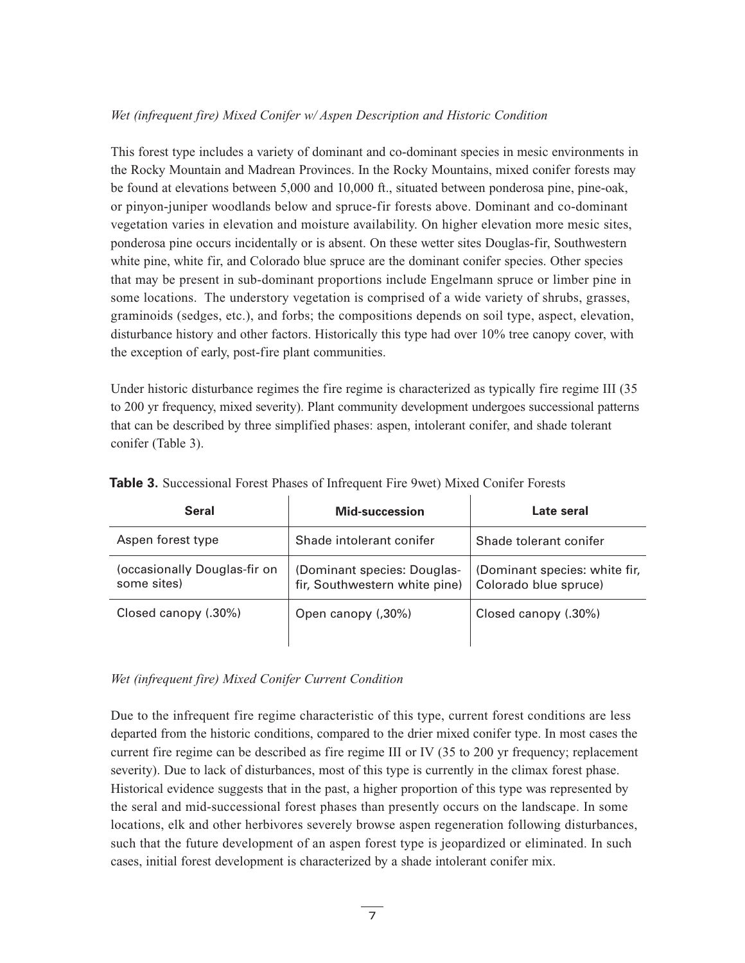# *Wet (infrequent fire) Mixed Conifer w/ Aspen Description and Historic Condition*

This forest type includes a variety of dominant and co-dominant species in mesic environments in the Rocky Mountain and Madrean Provinces. In the Rocky Mountains, mixed conifer forests may be found at elevations between 5,000 and 10,000 ft., situated between ponderosa pine, pine-oak, or pinyon-juniper woodlands below and spruce-fir forests above. Dominant and co-dominant vegetation varies in elevation and moisture availability. On higher elevation more mesic sites, ponderosa pine occurs incidentally or is absent. On these wetter sites Douglas-fir, Southwestern white pine, white fir, and Colorado blue spruce are the dominant conifer species. Other species that may be present in sub-dominant proportions include Engelmann spruce or limber pine in some locations. The understory vegetation is comprised of a wide variety of shrubs, grasses, graminoids (sedges, etc.), and forbs; the compositions depends on soil type, aspect, elevation, disturbance history and other factors. Historically this type had over 10% tree canopy cover, with the exception of early, post-fire plant communities.

Under historic disturbance regimes the fire regime is characterized as typically fire regime III (35 to 200 yr frequency, mixed severity). Plant community development undergoes successional patterns that can be described by three simplified phases: aspen, intolerant conifer, and shade tolerant conifer (Table 3).

| <b>Seral</b>                                | Mid-succession                                               | Late seral                                             |
|---------------------------------------------|--------------------------------------------------------------|--------------------------------------------------------|
| Aspen forest type                           | Shade intolerant conifer                                     | Shade tolerant conifer                                 |
| (occasionally Douglas-fir on<br>some sites) | (Dominant species: Douglas-<br>fir, Southwestern white pine) | (Dominant species: white fir,<br>Colorado blue spruce) |
| Closed canopy (.30%)                        | Open canopy (,30%)                                           | Closed canopy (.30%)                                   |

**Table 3.** Successional Forest Phases of Infrequent Fire 9wet) Mixed Conifer Forests

# *Wet (infrequent fire) Mixed Conifer Current Condition*

Due to the infrequent fire regime characteristic of this type, current forest conditions are less departed from the historic conditions, compared to the drier mixed conifer type. In most cases the current fire regime can be described as fire regime III or IV (35 to 200 yr frequency; replacement severity). Due to lack of disturbances, most of this type is currently in the climax forest phase. Historical evidence suggests that in the past, a higher proportion of this type was represented by the seral and mid-successional forest phases than presently occurs on the landscape. In some locations, elk and other herbivores severely browse aspen regeneration following disturbances, such that the future development of an aspen forest type is jeopardized or eliminated. In such cases, initial forest development is characterized by a shade intolerant conifer mix.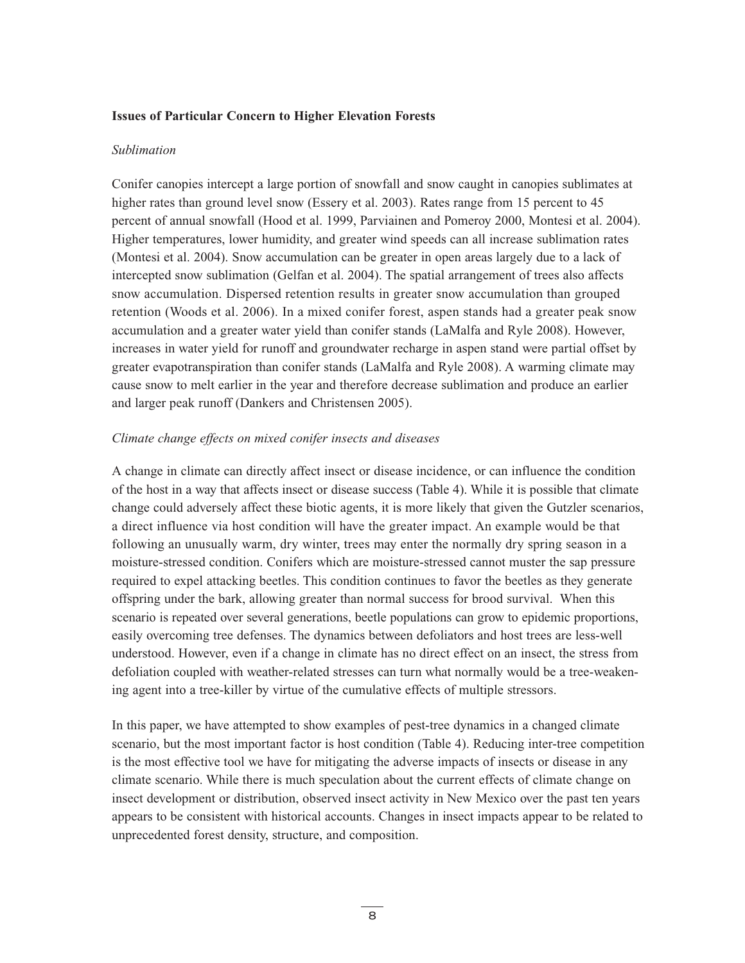#### **Issues of Particular Concern to Higher Elevation Forests**

#### *Sublimation*

Conifer canopies intercept a large portion of snowfall and snow caught in canopies sublimates at higher rates than ground level snow (Essery et al. 2003). Rates range from 15 percent to 45 percent of annual snowfall (Hood et al. 1999, Parviainen and Pomeroy 2000, Montesi et al. 2004). Higher temperatures, lower humidity, and greater wind speeds can all increase sublimation rates (Montesi et al. 2004). Snow accumulation can be greater in open areas largely due to a lack of intercepted snow sublimation (Gelfan et al. 2004). The spatial arrangement of trees also affects snow accumulation. Dispersed retention results in greater snow accumulation than grouped retention (Woods et al. 2006). In a mixed conifer forest, aspen stands had a greater peak snow accumulation and a greater water yield than conifer stands (LaMalfa and Ryle 2008). However, increases in water yield for runoff and groundwater recharge in aspen stand were partial offset by greater evapotranspiration than conifer stands (LaMalfa and Ryle 2008). A warming climate may cause snow to melt earlier in the year and therefore decrease sublimation and produce an earlier and larger peak runoff (Dankers and Christensen 2005).

#### *Climate change effects on mixed conifer insects and diseases*

A change in climate can directly affect insect or disease incidence, or can influence the condition of the host in a way that affects insect or disease success (Table 4). While it is possible that climate change could adversely affect these biotic agents, it is more likely that given the Gutzler scenarios, a direct influence via host condition will have the greater impact. An example would be that following an unusually warm, dry winter, trees may enter the normally dry spring season in a moisture-stressed condition. Conifers which are moisture-stressed cannot muster the sap pressure required to expel attacking beetles. This condition continues to favor the beetles as they generate offspring under the bark, allowing greater than normal success for brood survival. When this scenario is repeated over several generations, beetle populations can grow to epidemic proportions, easily overcoming tree defenses. The dynamics between defoliators and host trees are less-well understood. However, even if a change in climate has no direct effect on an insect, the stress from defoliation coupled with weather-related stresses can turn what normally would be a tree-weakening agent into a tree-killer by virtue of the cumulative effects of multiple stressors.

In this paper, we have attempted to show examples of pest-tree dynamics in a changed climate scenario, but the most important factor is host condition (Table 4). Reducing inter-tree competition is the most effective tool we have for mitigating the adverse impacts of insects or disease in any climate scenario. While there is much speculation about the current effects of climate change on insect development or distribution, observed insect activity in New Mexico over the past ten years appears to be consistent with historical accounts. Changes in insect impacts appear to be related to unprecedented forest density, structure, and composition.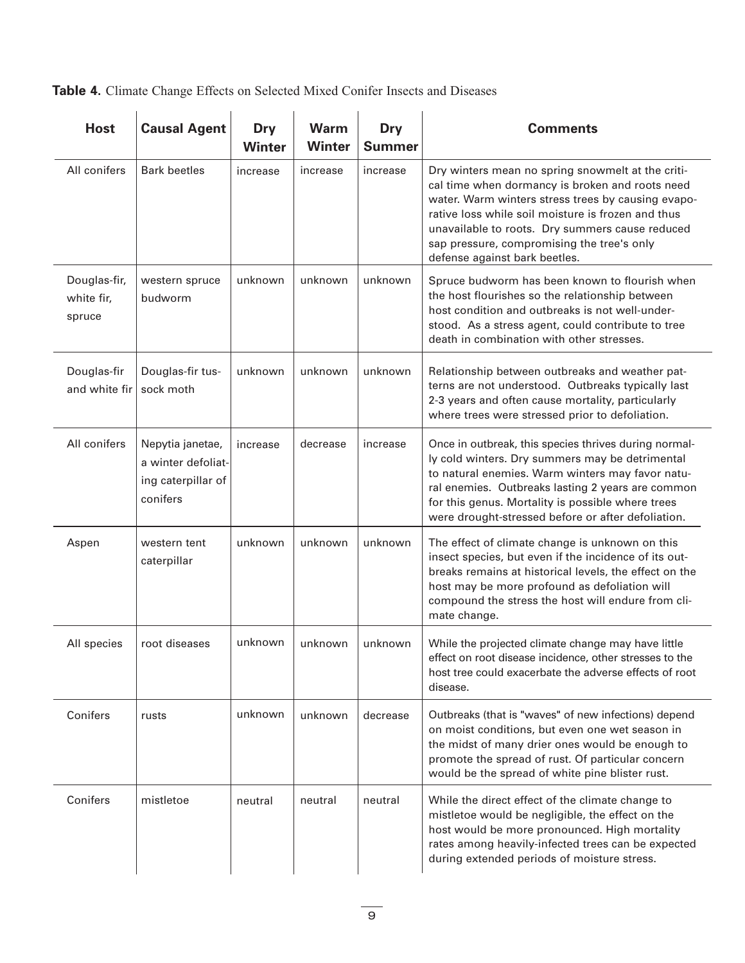**Table 4.** Climate Change Effects on Selected Mixed Conifer Insects and Diseases

| <b>Host</b>                          | <b>Causal Agent</b>                                                      | Dry<br><b>Winter</b> | <b>Warm</b><br><b>Winter</b> | <b>Dry</b><br><b>Summer</b> | <b>Comments</b>                                                                                                                                                                                                                                                                                                                                    |
|--------------------------------------|--------------------------------------------------------------------------|----------------------|------------------------------|-----------------------------|----------------------------------------------------------------------------------------------------------------------------------------------------------------------------------------------------------------------------------------------------------------------------------------------------------------------------------------------------|
| All conifers                         | <b>Bark beetles</b>                                                      | increase             | increase                     | increase                    | Dry winters mean no spring snowmelt at the criti-<br>cal time when dormancy is broken and roots need<br>water. Warm winters stress trees by causing evapo-<br>rative loss while soil moisture is frozen and thus<br>unavailable to roots. Dry summers cause reduced<br>sap pressure, compromising the tree's only<br>defense against bark beetles. |
| Douglas-fir,<br>white fir,<br>spruce | western spruce<br>budworm                                                | unknown              | unknown                      | unknown                     | Spruce budworm has been known to flourish when<br>the host flourishes so the relationship between<br>host condition and outbreaks is not well-under-<br>stood. As a stress agent, could contribute to tree<br>death in combination with other stresses.                                                                                            |
| Douglas-fir<br>and white fir         | Douglas-fir tus-<br>sock moth                                            | unknown              | unknown                      | unknown                     | Relationship between outbreaks and weather pat-<br>terns are not understood. Outbreaks typically last<br>2-3 years and often cause mortality, particularly<br>where trees were stressed prior to defoliation.                                                                                                                                      |
| All conifers                         | Nepytia janetae,<br>a winter defoliat-<br>ing caterpillar of<br>conifers | increase             | decrease                     | increase                    | Once in outbreak, this species thrives during normal-<br>ly cold winters. Dry summers may be detrimental<br>to natural enemies. Warm winters may favor natu-<br>ral enemies. Outbreaks lasting 2 years are common<br>for this genus. Mortality is possible where trees<br>were drought-stressed before or after defoliation.                       |
| Aspen                                | western tent<br>caterpillar                                              | unknown              | unknown                      | unknown                     | The effect of climate change is unknown on this<br>insect species, but even if the incidence of its out-<br>breaks remains at historical levels, the effect on the<br>host may be more profound as defoliation will<br>compound the stress the host will endure from cli-<br>mate change.                                                          |
| All species                          | root diseases                                                            | unknown              | unknown                      | unknown                     | While the projected climate change may have little<br>effect on root disease incidence, other stresses to the<br>host tree could exacerbate the adverse effects of root<br>disease.                                                                                                                                                                |
| Conifers                             | rusts                                                                    | unknown              | unknown                      | decrease                    | Outbreaks (that is "waves" of new infections) depend<br>on moist conditions, but even one wet season in<br>the midst of many drier ones would be enough to<br>promote the spread of rust. Of particular concern<br>would be the spread of white pine blister rust.                                                                                 |
| Conifers                             | mistletoe                                                                | neutral              | neutral                      | neutral                     | While the direct effect of the climate change to<br>mistletoe would be negligible, the effect on the<br>host would be more pronounced. High mortality<br>rates among heavily-infected trees can be expected<br>during extended periods of moisture stress.                                                                                         |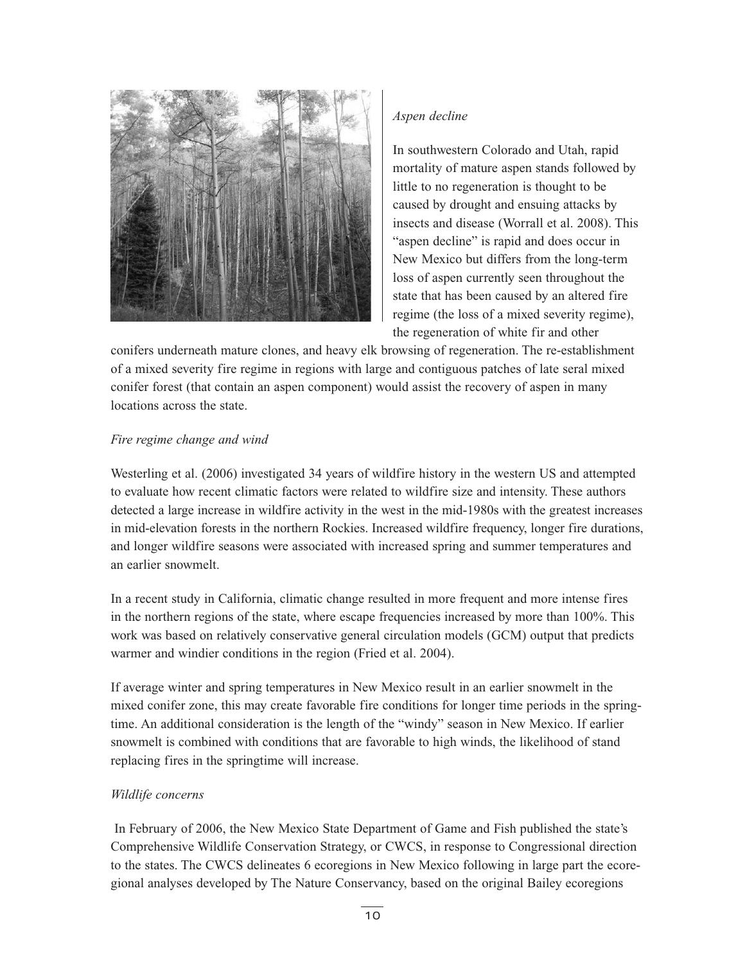

# *Aspen decline*

In southwestern Colorado and Utah, rapid mortality of mature aspen stands followed by little to no regeneration is thought to be caused by drought and ensuing attacks by insects and disease (Worrall et al. 2008). This "aspen decline" is rapid and does occur in New Mexico but differs from the long-term loss of aspen currently seen throughout the state that has been caused by an altered fire regime (the loss of a mixed severity regime), the regeneration of white fir and other

conifers underneath mature clones, and heavy elk browsing of regeneration. The re-establishment of a mixed severity fire regime in regions with large and contiguous patches of late seral mixed conifer forest (that contain an aspen component) would assist the recovery of aspen in many locations across the state.

# *Fire regime change and wind*

Westerling et al. (2006) investigated 34 years of wildfire history in the western US and attempted to evaluate how recent climatic factors were related to wildfire size and intensity. These authors detected a large increase in wildfire activity in the west in the mid-1980s with the greatest increases in mid-elevation forests in the northern Rockies. Increased wildfire frequency, longer fire durations, and longer wildfire seasons were associated with increased spring and summer temperatures and an earlier snowmelt.

In a recent study in California, climatic change resulted in more frequent and more intense fires in the northern regions of the state, where escape frequencies increased by more than 100%. This work was based on relatively conservative general circulation models (GCM) output that predicts warmer and windier conditions in the region (Fried et al. 2004).

If average winter and spring temperatures in New Mexico result in an earlier snowmelt in the mixed conifer zone, this may create favorable fire conditions for longer time periods in the springtime. An additional consideration is the length of the "windy" season in New Mexico. If earlier snowmelt is combined with conditions that are favorable to high winds, the likelihood of stand replacing fires in the springtime will increase.

# *Wildlife concerns*

In February of 2006, the New Mexico State Department of Game and Fish published the state's Comprehensive Wildlife Conservation Strategy, or CWCS, in response to Congressional direction to the states. The CWCS delineates 6 ecoregions in New Mexico following in large part the ecoregional analyses developed by The Nature Conservancy, based on the original Bailey ecoregions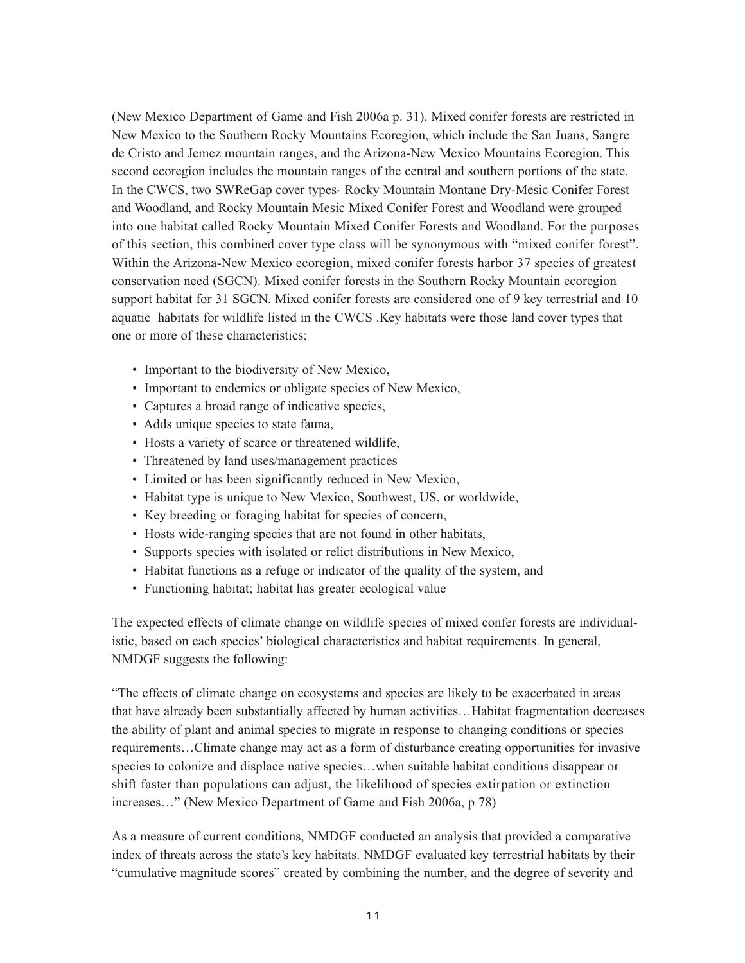(New Mexico Department of Game and Fish 2006a p. 31). Mixed conifer forests are restricted in New Mexico to the Southern Rocky Mountains Ecoregion, which include the San Juans, Sangre de Cristo and Jemez mountain ranges, and the Arizona-New Mexico Mountains Ecoregion. This second ecoregion includes the mountain ranges of the central and southern portions of the state. In the CWCS, two SWReGap cover types- Rocky Mountain Montane Dry-Mesic Conifer Forest and Woodland, and Rocky Mountain Mesic Mixed Conifer Forest and Woodland were grouped into one habitat called Rocky Mountain Mixed Conifer Forests and Woodland. For the purposes of this section, this combined cover type class will be synonymous with "mixed conifer forest". Within the Arizona-New Mexico ecoregion, mixed conifer forests harbor 37 species of greatest conservation need (SGCN). Mixed conifer forests in the Southern Rocky Mountain ecoregion support habitat for 31 SGCN. Mixed conifer forests are considered one of 9 key terrestrial and 10 aquatic habitats for wildlife listed in the CWCS .Key habitats were those land cover types that one or more of these characteristics:

- Important to the biodiversity of New Mexico,
- Important to endemics or obligate species of New Mexico,
- Captures a broad range of indicative species,
- Adds unique species to state fauna,
- Hosts a variety of scarce or threatened wildlife,
- Threatened by land uses/management practices
- Limited or has been significantly reduced in New Mexico,
- Habitat type is unique to New Mexico, Southwest, US, or worldwide,
- Key breeding or foraging habitat for species of concern,
- Hosts wide-ranging species that are not found in other habitats,
- Supports species with isolated or relict distributions in New Mexico,
- Habitat functions as a refuge or indicator of the quality of the system, and
- Functioning habitat; habitat has greater ecological value

The expected effects of climate change on wildlife species of mixed confer forests are individualistic, based on each species' biological characteristics and habitat requirements. In general, NMDGF suggests the following:

"The effects of climate change on ecosystems and species are likely to be exacerbated in areas that have already been substantially affected by human activities…Habitat fragmentation decreases the ability of plant and animal species to migrate in response to changing conditions or species requirements…Climate change may act as a form of disturbance creating opportunities for invasive species to colonize and displace native species…when suitable habitat conditions disappear or shift faster than populations can adjust, the likelihood of species extirpation or extinction increases…" (New Mexico Department of Game and Fish 2006a, p 78)

As a measure of current conditions, NMDGF conducted an analysis that provided a comparative index of threats across the state's key habitats. NMDGF evaluated key terrestrial habitats by their "cumulative magnitude scores" created by combining the number, and the degree of severity and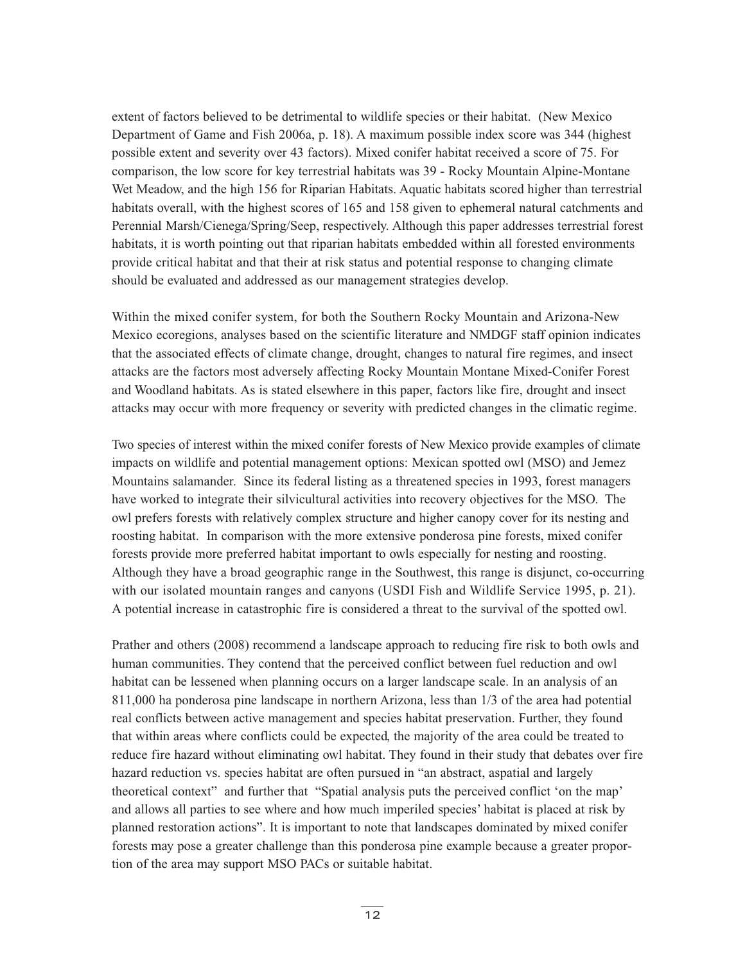extent of factors believed to be detrimental to wildlife species or their habitat. (New Mexico Department of Game and Fish 2006a, p. 18). A maximum possible index score was 344 (highest possible extent and severity over 43 factors). Mixed conifer habitat received a score of 75. For comparison, the low score for key terrestrial habitats was 39 - Rocky Mountain Alpine-Montane Wet Meadow, and the high 156 for Riparian Habitats. Aquatic habitats scored higher than terrestrial habitats overall, with the highest scores of 165 and 158 given to ephemeral natural catchments and Perennial Marsh/Cienega/Spring/Seep, respectively. Although this paper addresses terrestrial forest habitats, it is worth pointing out that riparian habitats embedded within all forested environments provide critical habitat and that their at risk status and potential response to changing climate should be evaluated and addressed as our management strategies develop.

Within the mixed conifer system, for both the Southern Rocky Mountain and Arizona-New Mexico ecoregions, analyses based on the scientific literature and NMDGF staff opinion indicates that the associated effects of climate change, drought, changes to natural fire regimes, and insect attacks are the factors most adversely affecting Rocky Mountain Montane Mixed-Conifer Forest and Woodland habitats. As is stated elsewhere in this paper, factors like fire, drought and insect attacks may occur with more frequency or severity with predicted changes in the climatic regime.

Two species of interest within the mixed conifer forests of New Mexico provide examples of climate impacts on wildlife and potential management options: Mexican spotted owl (MSO) and Jemez Mountains salamander. Since its federal listing as a threatened species in 1993, forest managers have worked to integrate their silvicultural activities into recovery objectives for the MSO. The owl prefers forests with relatively complex structure and higher canopy cover for its nesting and roosting habitat. In comparison with the more extensive ponderosa pine forests, mixed conifer forests provide more preferred habitat important to owls especially for nesting and roosting. Although they have a broad geographic range in the Southwest, this range is disjunct, co-occurring with our isolated mountain ranges and canyons (USDI Fish and Wildlife Service 1995, p. 21). A potential increase in catastrophic fire is considered a threat to the survival of the spotted owl.

Prather and others (2008) recommend a landscape approach to reducing fire risk to both owls and human communities. They contend that the perceived conflict between fuel reduction and owl habitat can be lessened when planning occurs on a larger landscape scale. In an analysis of an 811,000 ha ponderosa pine landscape in northern Arizona, less than 1/3 of the area had potential real conflicts between active management and species habitat preservation. Further, they found that within areas where conflicts could be expected, the majority of the area could be treated to reduce fire hazard without eliminating owl habitat. They found in their study that debates over fire hazard reduction vs. species habitat are often pursued in "an abstract, aspatial and largely theoretical context" and further that "Spatial analysis puts the perceived conflict 'on the map' and allows all parties to see where and how much imperiled species' habitat is placed at risk by planned restoration actions". It is important to note that landscapes dominated by mixed conifer forests may pose a greater challenge than this ponderosa pine example because a greater proportion of the area may support MSO PACs or suitable habitat.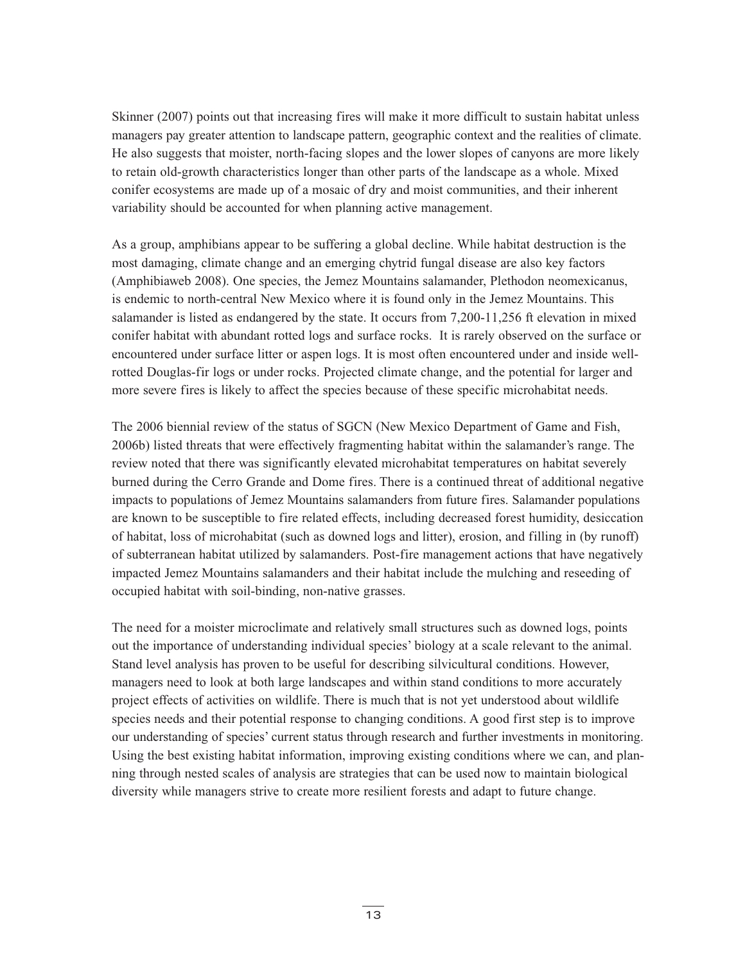Skinner (2007) points out that increasing fires will make it more difficult to sustain habitat unless managers pay greater attention to landscape pattern, geographic context and the realities of climate. He also suggests that moister, north-facing slopes and the lower slopes of canyons are more likely to retain old-growth characteristics longer than other parts of the landscape as a whole. Mixed conifer ecosystems are made up of a mosaic of dry and moist communities, and their inherent variability should be accounted for when planning active management.

As a group, amphibians appear to be suffering a global decline. While habitat destruction is the most damaging, climate change and an emerging chytrid fungal disease are also key factors (Amphibiaweb 2008). One species, the Jemez Mountains salamander, Plethodon neomexicanus, is endemic to north-central New Mexico where it is found only in the Jemez Mountains. This salamander is listed as endangered by the state. It occurs from 7,200-11,256 ft elevation in mixed conifer habitat with abundant rotted logs and surface rocks. It is rarely observed on the surface or encountered under surface litter or aspen logs. It is most often encountered under and inside wellrotted Douglas-fir logs or under rocks. Projected climate change, and the potential for larger and more severe fires is likely to affect the species because of these specific microhabitat needs.

The 2006 biennial review of the status of SGCN (New Mexico Department of Game and Fish, 2006b) listed threats that were effectively fragmenting habitat within the salamander's range. The review noted that there was significantly elevated microhabitat temperatures on habitat severely burned during the Cerro Grande and Dome fires. There is a continued threat of additional negative impacts to populations of Jemez Mountains salamanders from future fires. Salamander populations are known to be susceptible to fire related effects, including decreased forest humidity, desiccation of habitat, loss of microhabitat (such as downed logs and litter), erosion, and filling in (by runoff) of subterranean habitat utilized by salamanders. Post-fire management actions that have negatively impacted Jemez Mountains salamanders and their habitat include the mulching and reseeding of occupied habitat with soil-binding, non-native grasses.

The need for a moister microclimate and relatively small structures such as downed logs, points out the importance of understanding individual species' biology at a scale relevant to the animal. Stand level analysis has proven to be useful for describing silvicultural conditions. However, managers need to look at both large landscapes and within stand conditions to more accurately project effects of activities on wildlife. There is much that is not yet understood about wildlife species needs and their potential response to changing conditions. A good first step is to improve our understanding of species' current status through research and further investments in monitoring. Using the best existing habitat information, improving existing conditions where we can, and planning through nested scales of analysis are strategies that can be used now to maintain biological diversity while managers strive to create more resilient forests and adapt to future change.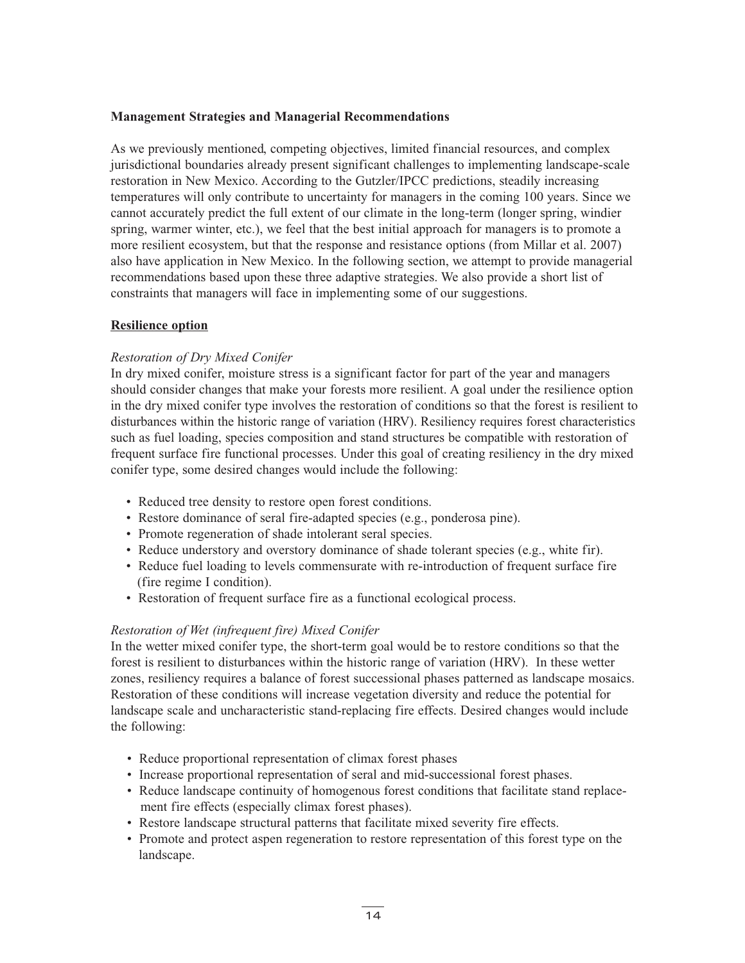# **Management Strategies and Managerial Recommendations**

As we previously mentioned, competing objectives, limited financial resources, and complex jurisdictional boundaries already present significant challenges to implementing landscape-scale restoration in New Mexico. According to the Gutzler/IPCC predictions, steadily increasing temperatures will only contribute to uncertainty for managers in the coming 100 years. Since we cannot accurately predict the full extent of our climate in the long-term (longer spring, windier spring, warmer winter, etc.), we feel that the best initial approach for managers is to promote a more resilient ecosystem, but that the response and resistance options (from Millar et al. 2007) also have application in New Mexico. In the following section, we attempt to provide managerial recommendations based upon these three adaptive strategies. We also provide a short list of constraints that managers will face in implementing some of our suggestions.

#### **Resilience option**

#### *Restoration of Dry Mixed Conifer*

In dry mixed conifer, moisture stress is a significant factor for part of the year and managers should consider changes that make your forests more resilient. A goal under the resilience option in the dry mixed conifer type involves the restoration of conditions so that the forest is resilient to disturbances within the historic range of variation (HRV). Resiliency requires forest characteristics such as fuel loading, species composition and stand structures be compatible with restoration of frequent surface fire functional processes. Under this goal of creating resiliency in the dry mixed conifer type, some desired changes would include the following:

- Reduced tree density to restore open forest conditions.
- Restore dominance of seral fire-adapted species (e.g., ponderosa pine).
- Promote regeneration of shade intolerant seral species.
- Reduce understory and overstory dominance of shade tolerant species (e.g., white fir).
- Reduce fuel loading to levels commensurate with re-introduction of frequent surface fire (fire regime I condition).
- Restoration of frequent surface fire as a functional ecological process.

#### *Restoration of Wet (infrequent fire) Mixed Conifer*

In the wetter mixed conifer type, the short-term goal would be to restore conditions so that the forest is resilient to disturbances within the historic range of variation (HRV). In these wetter zones, resiliency requires a balance of forest successional phases patterned as landscape mosaics. Restoration of these conditions will increase vegetation diversity and reduce the potential for landscape scale and uncharacteristic stand-replacing fire effects. Desired changes would include the following:

- Reduce proportional representation of climax forest phases
- Increase proportional representation of seral and mid-successional forest phases.
- Reduce landscape continuity of homogenous forest conditions that facilitate stand replacement fire effects (especially climax forest phases).
- Restore landscape structural patterns that facilitate mixed severity fire effects.
- Promote and protect aspen regeneration to restore representation of this forest type on the landscape.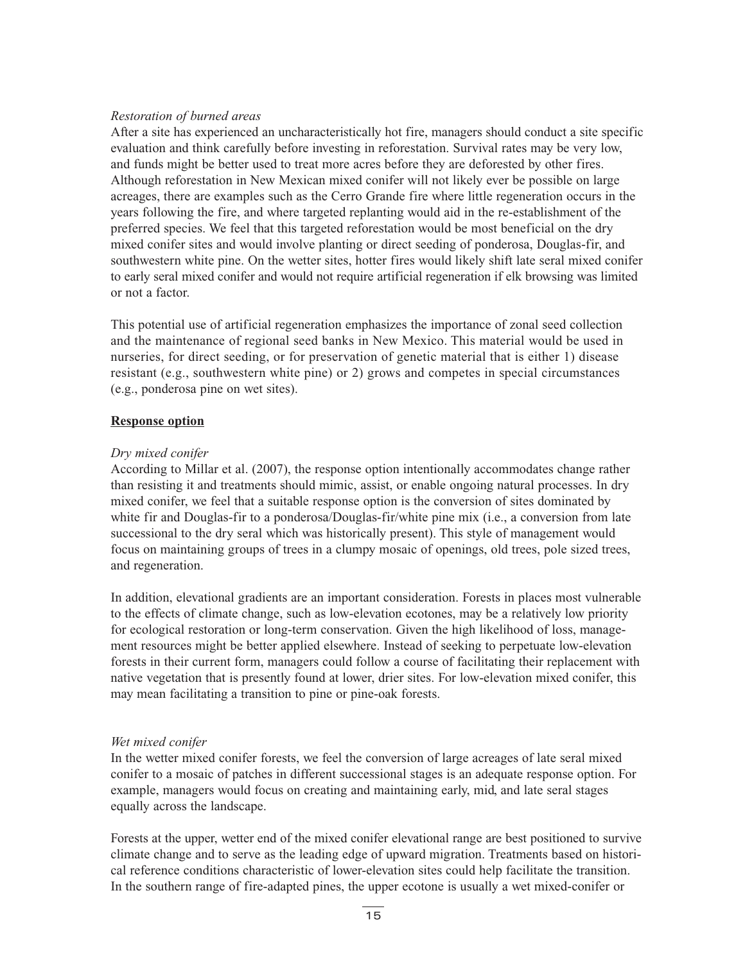# *Restoration of burned areas*

After a site has experienced an uncharacteristically hot fire, managers should conduct a site specific evaluation and think carefully before investing in reforestation. Survival rates may be very low, and funds might be better used to treat more acres before they are deforested by other fires. Although reforestation in New Mexican mixed conifer will not likely ever be possible on large acreages, there are examples such as the Cerro Grande fire where little regeneration occurs in the years following the fire, and where targeted replanting would aid in the re-establishment of the preferred species. We feel that this targeted reforestation would be most beneficial on the dry mixed conifer sites and would involve planting or direct seeding of ponderosa, Douglas-fir, and southwestern white pine. On the wetter sites, hotter fires would likely shift late seral mixed conifer to early seral mixed conifer and would not require artificial regeneration if elk browsing was limited or not a factor.

This potential use of artificial regeneration emphasizes the importance of zonal seed collection and the maintenance of regional seed banks in New Mexico. This material would be used in nurseries, for direct seeding, or for preservation of genetic material that is either 1) disease resistant (e.g., southwestern white pine) or 2) grows and competes in special circumstances (e.g., ponderosa pine on wet sites).

#### **Response option**

#### *Dry mixed conifer*

According to Millar et al. (2007), the response option intentionally accommodates change rather than resisting it and treatments should mimic, assist, or enable ongoing natural processes. In dry mixed conifer, we feel that a suitable response option is the conversion of sites dominated by white fir and Douglas-fir to a ponderosa/Douglas-fir/white pine mix (i.e., a conversion from late successional to the dry seral which was historically present). This style of management would focus on maintaining groups of trees in a clumpy mosaic of openings, old trees, pole sized trees, and regeneration.

In addition, elevational gradients are an important consideration. Forests in places most vulnerable to the effects of climate change, such as low-elevation ecotones, may be a relatively low priority for ecological restoration or long-term conservation. Given the high likelihood of loss, management resources might be better applied elsewhere. Instead of seeking to perpetuate low-elevation forests in their current form, managers could follow a course of facilitating their replacement with native vegetation that is presently found at lower, drier sites. For low-elevation mixed conifer, this may mean facilitating a transition to pine or pine-oak forests.

#### *Wet mixed conifer*

In the wetter mixed conifer forests, we feel the conversion of large acreages of late seral mixed conifer to a mosaic of patches in different successional stages is an adequate response option. For example, managers would focus on creating and maintaining early, mid, and late seral stages equally across the landscape.

Forests at the upper, wetter end of the mixed conifer elevational range are best positioned to survive climate change and to serve as the leading edge of upward migration. Treatments based on historical reference conditions characteristic of lower-elevation sites could help facilitate the transition. In the southern range of fire-adapted pines, the upper ecotone is usually a wet mixed-conifer or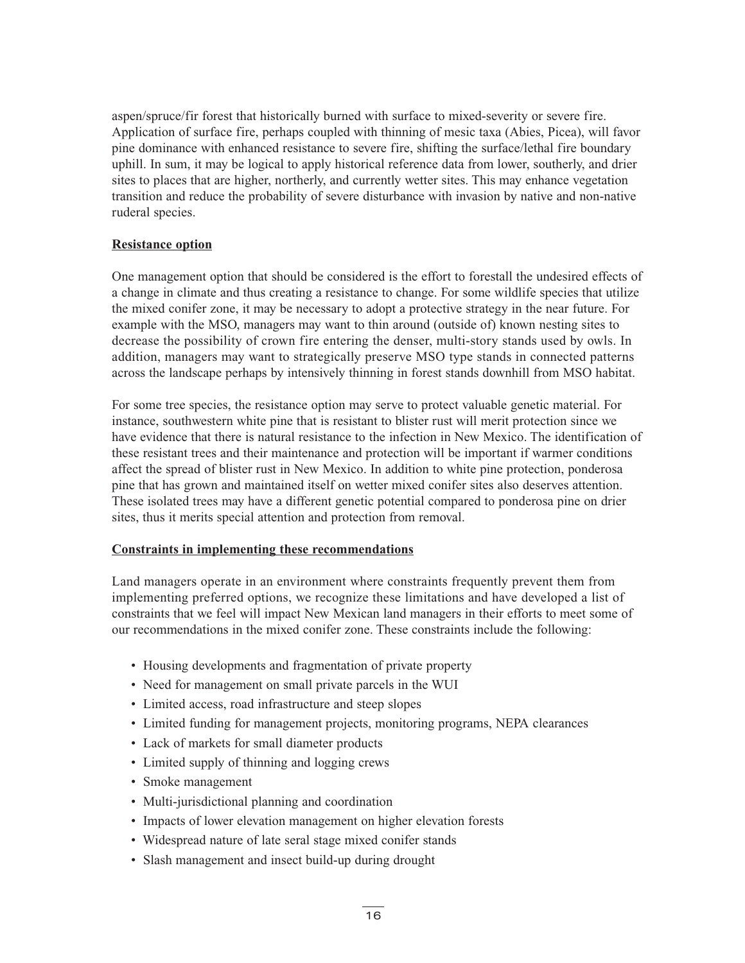aspen/spruce/fir forest that historically burned with surface to mixed-severity or severe fire. Application of surface fire, perhaps coupled with thinning of mesic taxa (Abies, Picea), will favor pine dominance with enhanced resistance to severe fire, shifting the surface/lethal fire boundary uphill. In sum, it may be logical to apply historical reference data from lower, southerly, and drier sites to places that are higher, northerly, and currently wetter sites. This may enhance vegetation transition and reduce the probability of severe disturbance with invasion by native and non-native ruderal species.

# **Resistance option**

One management option that should be considered is the effort to forestall the undesired effects of a change in climate and thus creating a resistance to change. For some wildlife species that utilize the mixed conifer zone, it may be necessary to adopt a protective strategy in the near future. For example with the MSO, managers may want to thin around (outside of) known nesting sites to decrease the possibility of crown fire entering the denser, multi-story stands used by owls. In addition, managers may want to strategically preserve MSO type stands in connected patterns across the landscape perhaps by intensively thinning in forest stands downhill from MSO habitat.

For some tree species, the resistance option may serve to protect valuable genetic material. For instance, southwestern white pine that is resistant to blister rust will merit protection since we have evidence that there is natural resistance to the infection in New Mexico. The identification of these resistant trees and their maintenance and protection will be important if warmer conditions affect the spread of blister rust in New Mexico. In addition to white pine protection, ponderosa pine that has grown and maintained itself on wetter mixed conifer sites also deserves attention. These isolated trees may have a different genetic potential compared to ponderosa pine on drier sites, thus it merits special attention and protection from removal.

#### **Constraints in implementing these recommendations**

Land managers operate in an environment where constraints frequently prevent them from implementing preferred options, we recognize these limitations and have developed a list of constraints that we feel will impact New Mexican land managers in their efforts to meet some of our recommendations in the mixed conifer zone. These constraints include the following:

- Housing developments and fragmentation of private property
- Need for management on small private parcels in the WUI
- Limited access, road infrastructure and steep slopes
- Limited funding for management projects, monitoring programs, NEPA clearances
- Lack of markets for small diameter products
- Limited supply of thinning and logging crews
- Smoke management
- Multi-jurisdictional planning and coordination
- Impacts of lower elevation management on higher elevation forests
- Widespread nature of late seral stage mixed conifer stands
- Slash management and insect build-up during drought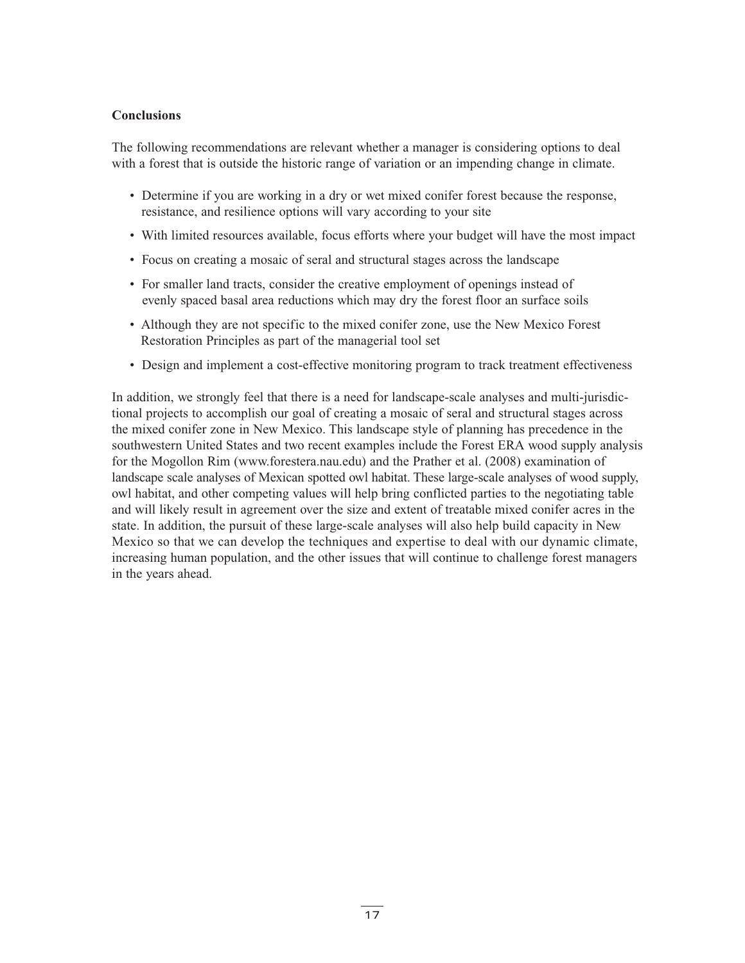#### **Conclusions**

The following recommendations are relevant whether a manager is considering options to deal with a forest that is outside the historic range of variation or an impending change in climate.

- Determine if you are working in a dry or wet mixed conifer forest because the response, resistance, and resilience options will vary according to your site
- With limited resources available, focus efforts where your budget will have the most impact
- Focus on creating a mosaic of seral and structural stages across the landscape
- For smaller land tracts, consider the creative employment of openings instead of evenly spaced basal area reductions which may dry the forest floor an surface soils
- Although they are not specific to the mixed conifer zone, use the New Mexico Forest Restoration Principles as part of the managerial tool set
- Design and implement a cost-effective monitoring program to track treatment effectiveness

In addition, we strongly feel that there is a need for landscape-scale analyses and multi-jurisdictional projects to accomplish our goal of creating a mosaic of seral and structural stages across the mixed conifer zone in New Mexico. This landscape style of planning has precedence in the southwestern United States and two recent examples include the Forest ERA wood supply analysis for the Mogollon Rim (www.forestera.nau.edu) and the Prather et al. (2008) examination of landscape scale analyses of Mexican spotted owl habitat. These large-scale analyses of wood supply, owl habitat, and other competing values will help bring conflicted parties to the negotiating table and will likely result in agreement over the size and extent of treatable mixed conifer acres in the state. In addition, the pursuit of these large-scale analyses will also help build capacity in New Mexico so that we can develop the techniques and expertise to deal with our dynamic climate, increasing human population, and the other issues that will continue to challenge forest managers in the years ahead.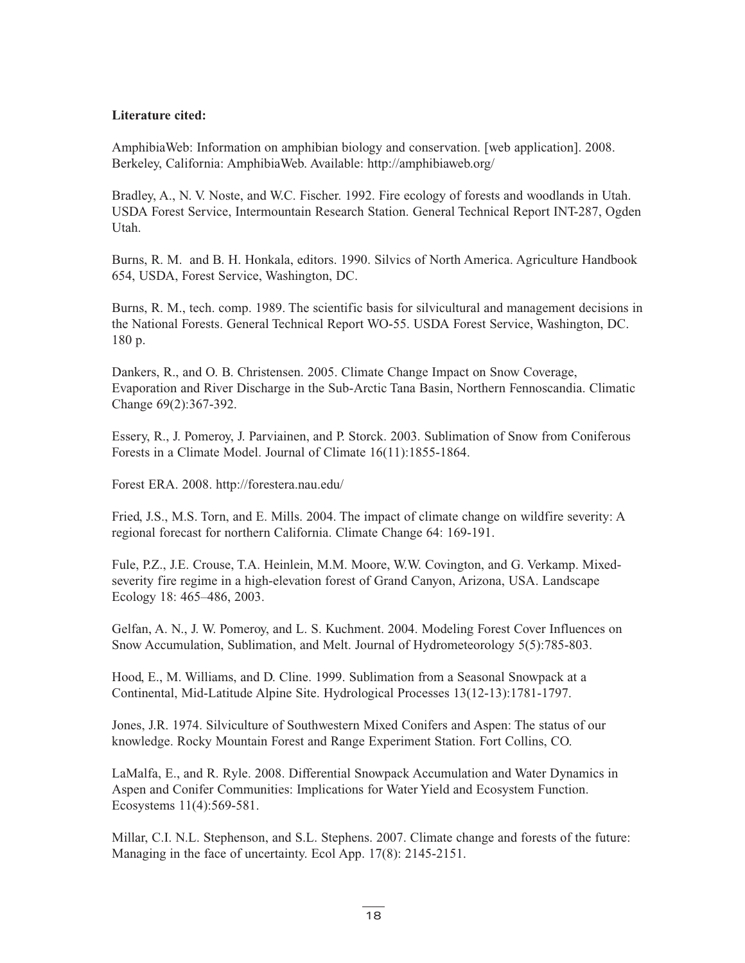# **Literature cited:**

AmphibiaWeb: Information on amphibian biology and conservation. [web application]. 2008. Berkeley, California: AmphibiaWeb. Available: http://amphibiaweb.org/

Bradley, A., N. V. Noste, and W.C. Fischer. 1992. Fire ecology of forests and woodlands in Utah. USDA Forest Service, Intermountain Research Station. General Technical Report INT-287, Ogden Utah.

Burns, R. M. and B. H. Honkala, editors. 1990. Silvics of North America. Agriculture Handbook 654, USDA, Forest Service, Washington, DC.

Burns, R. M., tech. comp. 1989. The scientific basis for silvicultural and management decisions in the National Forests. General Technical Report WO-55. USDA Forest Service, Washington, DC. 180 p.

Dankers, R., and O. B. Christensen. 2005. Climate Change Impact on Snow Coverage, Evaporation and River Discharge in the Sub-Arctic Tana Basin, Northern Fennoscandia. Climatic Change 69(2):367-392.

Essery, R., J. Pomeroy, J. Parviainen, and P. Storck. 2003. Sublimation of Snow from Coniferous Forests in a Climate Model. Journal of Climate 16(11):1855-1864.

Forest ERA. 2008. http://forestera.nau.edu/

Fried, J.S., M.S. Torn, and E. Mills. 2004. The impact of climate change on wildfire severity: A regional forecast for northern California. Climate Change 64: 169-191.

Fule, P.Z., J.E. Crouse, T.A. Heinlein, M.M. Moore, W.W. Covington, and G. Verkamp. Mixedseverity fire regime in a high-elevation forest of Grand Canyon, Arizona, USA. Landscape Ecology 18: 465–486, 2003.

Gelfan, A. N., J. W. Pomeroy, and L. S. Kuchment. 2004. Modeling Forest Cover Influences on Snow Accumulation, Sublimation, and Melt. Journal of Hydrometeorology 5(5):785-803.

Hood, E., M. Williams, and D. Cline. 1999. Sublimation from a Seasonal Snowpack at a Continental, Mid-Latitude Alpine Site. Hydrological Processes 13(12-13):1781-1797.

Jones, J.R. 1974. Silviculture of Southwestern Mixed Conifers and Aspen: The status of our knowledge. Rocky Mountain Forest and Range Experiment Station. Fort Collins, CO.

LaMalfa, E., and R. Ryle. 2008. Differential Snowpack Accumulation and Water Dynamics in Aspen and Conifer Communities: Implications for Water Yield and Ecosystem Function. Ecosystems 11(4):569-581.

Millar, C.I. N.L. Stephenson, and S.L. Stephens. 2007. Climate change and forests of the future: Managing in the face of uncertainty. Ecol App. 17(8): 2145-2151.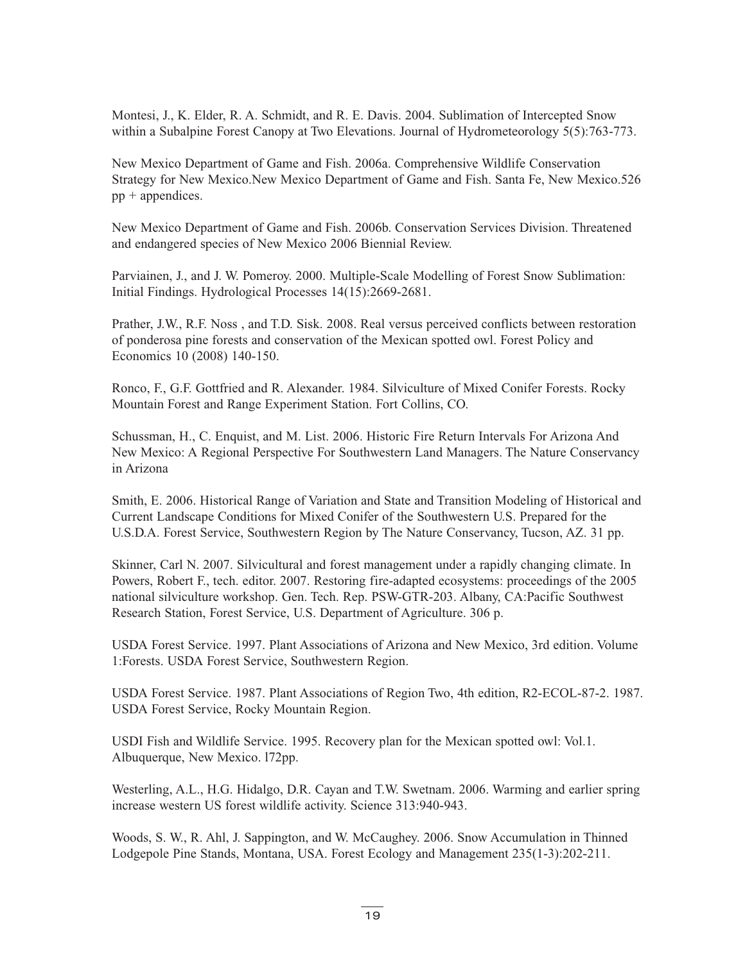Montesi, J., K. Elder, R. A. Schmidt, and R. E. Davis. 2004. Sublimation of Intercepted Snow within a Subalpine Forest Canopy at Two Elevations. Journal of Hydrometeorology 5(5):763-773.

New Mexico Department of Game and Fish. 2006a. Comprehensive Wildlife Conservation Strategy for New Mexico.New Mexico Department of Game and Fish. Santa Fe, New Mexico.526  $pp +$ appendices.

New Mexico Department of Game and Fish. 2006b. Conservation Services Division. Threatened and endangered species of New Mexico 2006 Biennial Review.

Parviainen, J., and J. W. Pomeroy. 2000. Multiple-Scale Modelling of Forest Snow Sublimation: Initial Findings. Hydrological Processes 14(15):2669-2681.

Prather, J.W., R.F. Noss , and T.D. Sisk. 2008. Real versus perceived conflicts between restoration of ponderosa pine forests and conservation of the Mexican spotted owl. Forest Policy and Economics 10 (2008) 140-150.

Ronco, F., G.F. Gottfried and R. Alexander. 1984. Silviculture of Mixed Conifer Forests. Rocky Mountain Forest and Range Experiment Station. Fort Collins, CO.

Schussman, H., C. Enquist, and M. List. 2006. Historic Fire Return Intervals For Arizona And New Mexico: A Regional Perspective For Southwestern Land Managers. The Nature Conservancy in Arizona

Smith, E. 2006. Historical Range of Variation and State and Transition Modeling of Historical and Current Landscape Conditions for Mixed Conifer of the Southwestern U.S. Prepared for the U.S.D.A. Forest Service, Southwestern Region by The Nature Conservancy, Tucson, AZ. 31 pp.

Skinner, Carl N. 2007. Silvicultural and forest management under a rapidly changing climate. In Powers, Robert F., tech. editor. 2007. Restoring fire-adapted ecosystems: proceedings of the 2005 national silviculture workshop. Gen. Tech. Rep. PSW-GTR-203. Albany, CA:Pacific Southwest Research Station, Forest Service, U.S. Department of Agriculture. 306 p.

USDA Forest Service. 1997. Plant Associations of Arizona and New Mexico, 3rd edition. Volume 1:Forests. USDA Forest Service, Southwestern Region.

USDA Forest Service. 1987. Plant Associations of Region Two, 4th edition, R2-ECOL-87-2. 1987. USDA Forest Service, Rocky Mountain Region.

USDI Fish and Wildlife Service. 1995. Recovery plan for the Mexican spotted owl: Vol.1. Albuquerque, New Mexico. l72pp.

Westerling, A.L., H.G. Hidalgo, D.R. Cayan and T.W. Swetnam. 2006. Warming and earlier spring increase western US forest wildlife activity. Science 313:940-943.

Woods, S. W., R. Ahl, J. Sappington, and W. McCaughey. 2006. Snow Accumulation in Thinned Lodgepole Pine Stands, Montana, USA. Forest Ecology and Management 235(1-3):202-211.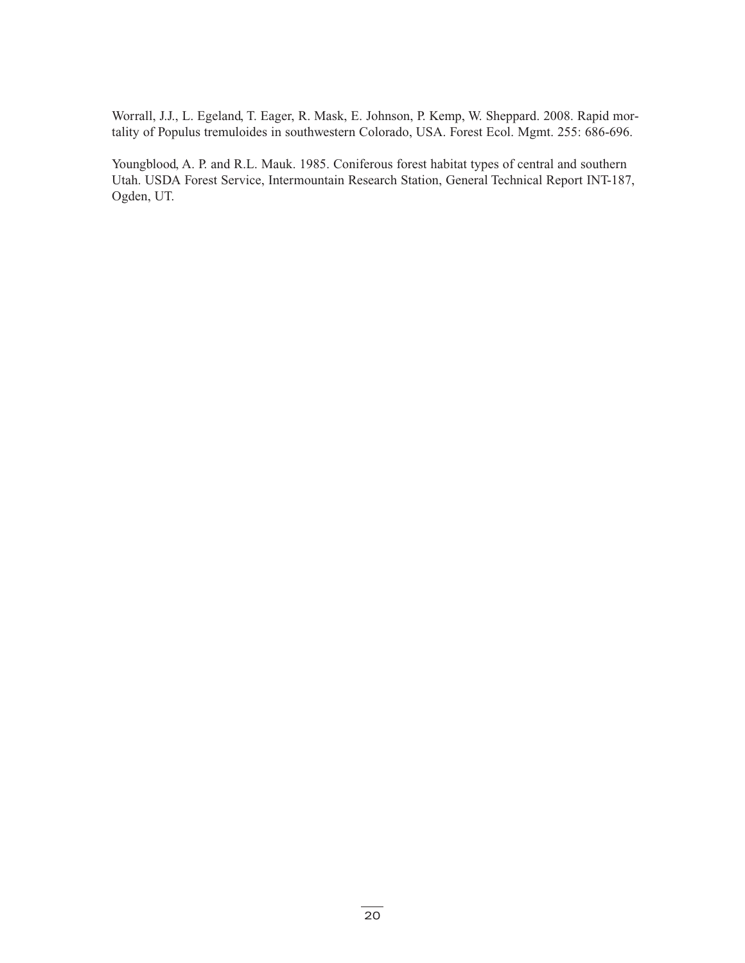Worrall, J.J., L. Egeland, T. Eager, R. Mask, E. Johnson, P. Kemp, W. Sheppard. 2008. Rapid mortality of Populus tremuloides in southwestern Colorado, USA. Forest Ecol. Mgmt. 255: 686-696.

Youngblood, A. P. and R.L. Mauk. 1985. Coniferous forest habitat types of central and southern Utah. USDA Forest Service, Intermountain Research Station, General Technical Report INT-187, Ogden, UT.